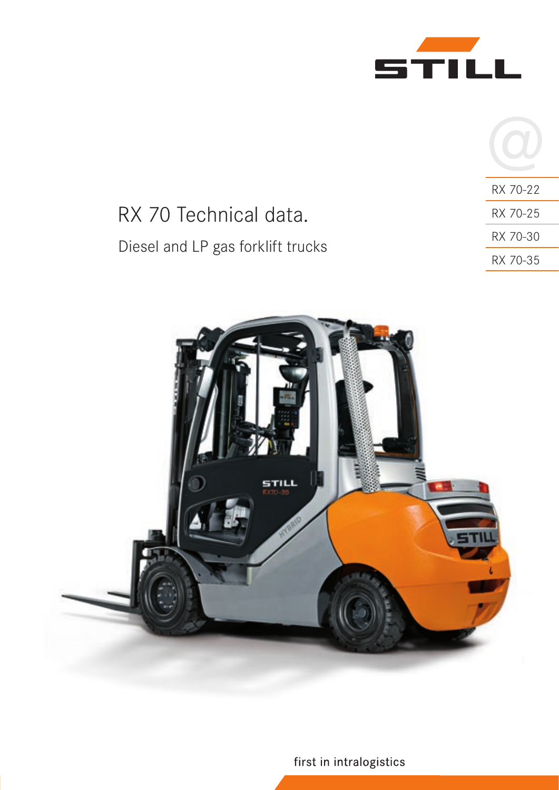

|                                   | RX 70-22 |
|-----------------------------------|----------|
| RX 70 Technical data.             | RX 70-25 |
| Diesel and LP gas forklift trucks | RX 70-30 |
|                                   | RX 70-35 |



first in intralogistics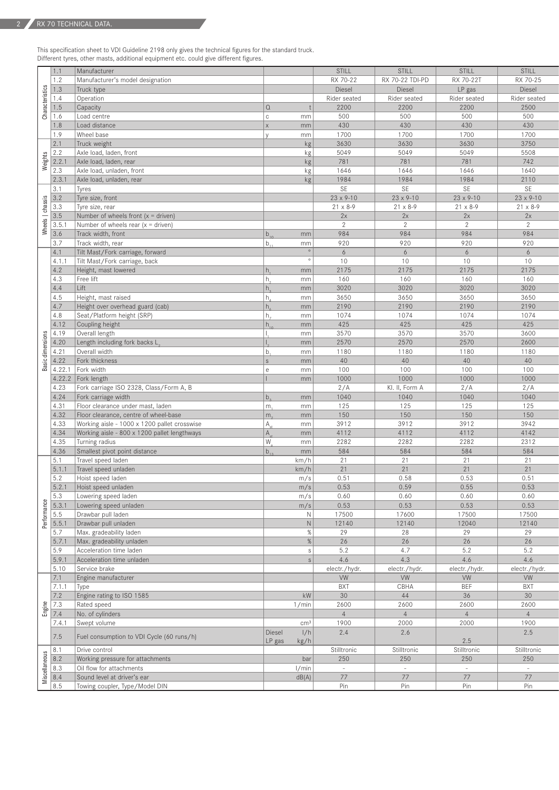This specification sheet to VDI Guideline 2198 only gives the technical figures for the standard truck. Different tyres, other masts, additional equipment etc. could give different figures.

|             | 1.1                                                                                                                                                                                                                                                                                                                 | Manufacturer                                                  |                  |                 | STILL                | STILL              | STILL              | STILL             |
|-------------|---------------------------------------------------------------------------------------------------------------------------------------------------------------------------------------------------------------------------------------------------------------------------------------------------------------------|---------------------------------------------------------------|------------------|-----------------|----------------------|--------------------|--------------------|-------------------|
|             | 1.2                                                                                                                                                                                                                                                                                                                 | Manufacturer's model designation                              |                  |                 | RX 70-22             | RX 70-22 TDI-PD    | RX 70-22T          | RX 70-25          |
|             |                                                                                                                                                                                                                                                                                                                     | Truck type                                                    |                  |                 | Diesel               | Diesel             | LP gas             | Diesel            |
|             | $\frac{1}{2}$ $\frac{1}{2}$ $\frac{1}{2}$ $\frac{1}{2}$ $\frac{1}{2}$ $\frac{1}{2}$ $\frac{1}{2}$ $\frac{1}{2}$ $\frac{1}{2}$ $\frac{1}{2}$ $\frac{1}{2}$ $\frac{1}{2}$ $\frac{1}{2}$ $\frac{1}{2}$ $\frac{1}{2}$ $\frac{1}{2}$ $\frac{1}{2}$ $\frac{1}{2}$ $\frac{1}{2}$ $\frac{1}{2}$ $\frac{1}{2}$ $\frac{1}{2}$ | Operation                                                     |                  |                 | Rider seated         | Rider seated       | Rider seated       | Rider seated      |
|             |                                                                                                                                                                                                                                                                                                                     | Capacity                                                      | l Q              |                 | 2200                 | 2200               | 2200               | 2500              |
| Char        | 1.6                                                                                                                                                                                                                                                                                                                 | Load centre                                                   |                  | mm              | 500                  | 500                | 500                | 500               |
|             | 1.8                                                                                                                                                                                                                                                                                                                 | Load distance                                                 | $\mathsf{X}$     | mm              | 430                  | 430                | 430                | 430               |
|             | 1.9                                                                                                                                                                                                                                                                                                                 | Wheel base                                                    |                  | mm              | 1700                 | 1700               | 1700               | 1700              |
|             | 2.1                                                                                                                                                                                                                                                                                                                 | Truck weight                                                  |                  | kg              | 3630                 | 3630               | 3630               | 3750              |
|             | 2.2                                                                                                                                                                                                                                                                                                                 | Axle load, laden, front                                       |                  | kg              | 5049                 | 5049               | 5049               | 5508              |
| Weights     | 2.2.1                                                                                                                                                                                                                                                                                                               | Axle load, laden, rear                                        |                  | kg              | 781                  | 781                | 781                | 742               |
|             | 2.3                                                                                                                                                                                                                                                                                                                 | Axle load, unladen, front                                     |                  | kg              | 1646                 | 1646               | 1646               | 1640              |
|             | 2.3.1                                                                                                                                                                                                                                                                                                               | Axle load, unladen, rear                                      |                  | kg <sub>l</sub> | 1984                 | 1984               | 1984               | 2110              |
|             | 3.1                                                                                                                                                                                                                                                                                                                 | Tyres                                                         |                  |                 | SE                   | SE                 | SE                 | SE                |
|             |                                                                                                                                                                                                                                                                                                                     | Tyre size, front                                              |                  |                 | $23 \times 9 - 10$   | $23 \times 9 - 10$ | $23 \times 9 - 10$ | 23 x 9-10         |
|             | $\begin{array}{r l}\n\hline\n\text{seas} \\ \hline\n3.3 \\ \hline\n3.5 \\ \hline\n3.5\n\end{array}$                                                                                                                                                                                                                 | Tyre size, rear                                               |                  |                 | $21 \times 8 - 9$    | $21 \times 8 - 9$  | $21 \times 8 - 9$  | $21 \times 8 - 9$ |
|             |                                                                                                                                                                                                                                                                                                                     | Number of wheels front $(x =$ driven)                         |                  |                 | 2x                   | 2x                 | 2x                 | 2x                |
|             | 3.5.1                                                                                                                                                                                                                                                                                                               |                                                               |                  |                 | 2                    | 2                  | 2                  | 2                 |
| ξ           | 3.6                                                                                                                                                                                                                                                                                                                 | Number of wheels rear $(x =$ driven)<br>Track width, front    |                  |                 | 984                  | 984                | 984                | 984               |
|             |                                                                                                                                                                                                                                                                                                                     |                                                               |                  | mm              |                      | 920                |                    |                   |
|             | 3.7                                                                                                                                                                                                                                                                                                                 | Track width, rear                                             | Ib.              | mm<br>$\circ$   | 920                  |                    | 920                | 920               |
|             | 4.1                                                                                                                                                                                                                                                                                                                 | Tilt Mast/Fork carriage, forward                              |                  | $\circ$         | 6                    | 6                  | 6                  | 6                 |
|             | 4.1.1                                                                                                                                                                                                                                                                                                               | Tilt Mast/Fork carriage, back                                 |                  |                 | 10                   | 10                 | 10                 | 10                |
|             | 4.2                                                                                                                                                                                                                                                                                                                 | Height, mast lowered                                          |                  | mm              | 2175                 | 2175               | 2175               | 2175              |
|             | $ 4.3\rangle$                                                                                                                                                                                                                                                                                                       | Free lift                                                     | l h              | mm              | 160                  | 160                | 160                | 160               |
|             | 4.4                                                                                                                                                                                                                                                                                                                 | Lift                                                          | l h              | mm              | 3020                 | 3020               | 3020               | 3020              |
|             | $ 4.5\rangle$                                                                                                                                                                                                                                                                                                       | Height, mast raised                                           |                  | mm              | 3650                 | 3650               | 3650               | 3650              |
|             | 4.7                                                                                                                                                                                                                                                                                                                 | Height over overhead guard (cab)                              |                  | mm              | 2190                 | 2190               | 2190               | 2190              |
|             | 4.8                                                                                                                                                                                                                                                                                                                 | Seat/Platform height (SRP)                                    | ۱h.              | mm              | 1074                 | 1074               | 1074               | 1074              |
|             | 4.12                                                                                                                                                                                                                                                                                                                | Coupling height                                               | l h              | mm              | 425                  | 425                | 425                | 425               |
|             | $\frac{2}{5}$ 4.19                                                                                                                                                                                                                                                                                                  | Overall length                                                |                  | mm              | 3570                 | 3570               | 3570               | 3600              |
|             | 4.20                                                                                                                                                                                                                                                                                                                | Length including fork backs L                                 |                  | mm              | 2570                 | 2570               | 2570               | 2600              |
|             | 4.21                                                                                                                                                                                                                                                                                                                | Overall width                                                 | lb.              | mm              | 1180                 | 1180               | 1180               | 1180              |
|             | 4.22                                                                                                                                                                                                                                                                                                                | Fork thickness                                                | $\mathbf{s}$     | mm              | 40                   | 40                 | 40                 | 40                |
| ക്          | 4.22.1                                                                                                                                                                                                                                                                                                              | Fork width                                                    | $\sim$           | mm              | 100                  | 100                | 100                | 100               |
|             |                                                                                                                                                                                                                                                                                                                     | $4.22.2$ Fork length                                          |                  | mm              | 1000                 | 1000               | 1000               | 1000              |
|             | 4.23                                                                                                                                                                                                                                                                                                                | Fork carriage ISO 2328, Class/Form A, B                       |                  |                 | 2/A                  | Kl. II, Form A     | 2/A                | 2/A               |
|             |                                                                                                                                                                                                                                                                                                                     |                                                               |                  |                 |                      |                    |                    |                   |
|             | 4.24                                                                                                                                                                                                                                                                                                                | Fork carriage width                                           |                  | mm              | 1040                 | 1040               | 1040               | 1040              |
|             | 4.31                                                                                                                                                                                                                                                                                                                | Floor clearance under mast, laden                             | m,               | mm              | 125                  | 125                | 125                | 125               |
|             | 4.32                                                                                                                                                                                                                                                                                                                | Floor clearance, centre of wheel-base                         | $ m_{\circ} $    | mm              | 150                  | 150                | 150                | 150               |
|             | 4.33                                                                                                                                                                                                                                                                                                                | Working aisle - 1000 x 1200 pallet crosswise                  | IA.              | mm              | 3912                 | 3912               | 3912               | 3942              |
|             | 4.34                                                                                                                                                                                                                                                                                                                | Working aisle - 800 x 1200 pallet lengthways                  | $A_{\cdot\cdot}$ | mm              | 4112                 | 4112               | 4112               | 4142              |
|             | 4.35                                                                                                                                                                                                                                                                                                                | Turning radius                                                | W.               | mm              | 2282                 | 2282               | 2282               | 2312              |
|             | 4.36                                                                                                                                                                                                                                                                                                                | Smallest pivot point distance                                 | $b$ .            | mm              | 584                  | 584                | 584                | 584               |
|             | 5.1                                                                                                                                                                                                                                                                                                                 | Travel speed laden                                            |                  | km/h            | 21                   | 21                 | 21                 | 21                |
|             | 5.1.1                                                                                                                                                                                                                                                                                                               | Travel speed unladen                                          |                  | km/h            | 21                   | 21                 | 21                 | 21                |
|             | 5.2                                                                                                                                                                                                                                                                                                                 | Hoist speed laden                                             |                  | m/s             | 0.51                 | 0.58               | 0.53               | 0.51              |
|             |                                                                                                                                                                                                                                                                                                                     | 5.2.1 Hoist speed unladen                                     |                  | m/s             | 0.53                 | 0.59               | 0.55               | 0.53              |
|             | 5.3                                                                                                                                                                                                                                                                                                                 | Lowering speed laden                                          |                  | m/s             | 0.60                 | 0.60               | 0.60               | 0.60              |
|             |                                                                                                                                                                                                                                                                                                                     | 5.3.1 Lowering speed unladen                                  |                  | m/s             | 0.53                 | 0.53               | 0.53               | 0.53              |
| Performance | 5.5                                                                                                                                                                                                                                                                                                                 | Drawbar pull laden                                            |                  | $\mathbb{N}$    | 17500                | 17600              | 17500              | 17500             |
|             |                                                                                                                                                                                                                                                                                                                     | 5.5.1 Drawbar pull unladen                                    |                  | N               | 12140                | 12140              | 12040              | 12140             |
|             | 5.7                                                                                                                                                                                                                                                                                                                 | Max. gradeability laden                                       |                  | %               | 29                   | 28                 | 29                 | 29                |
|             |                                                                                                                                                                                                                                                                                                                     | $5.7.1$ Max. gradeability unladen                             |                  | %               | 26                   | 26                 | 26                 |                   |
|             |                                                                                                                                                                                                                                                                                                                     |                                                               |                  |                 |                      |                    |                    | 26                |
|             | 5.9                                                                                                                                                                                                                                                                                                                 | Acceleration time laden                                       |                  | S               | 5.2                  | 4.7                | 5.2                | 5.2               |
|             |                                                                                                                                                                                                                                                                                                                     | 5.9.1 Acceleration time unladen                               |                  |                 | 4.6                  | 4.3                | 4.6                | 4.6               |
|             | 5.10                                                                                                                                                                                                                                                                                                                | Service brake                                                 |                  |                 | electr./hydr.        | electr./hydr.      | electr./hydr.      | electr./hydr.     |
|             | 7.1                                                                                                                                                                                                                                                                                                                 | Engine manufacturer                                           |                  |                 | ${\vee}{\mathsf{W}}$ | VW                 | VW                 | VW                |
|             | $7.1.1$ Type                                                                                                                                                                                                                                                                                                        |                                                               |                  |                 | <b>BXT</b>           | CBHA               | <b>BEF</b>         | <b>BXT</b>        |
|             | 7.2                                                                                                                                                                                                                                                                                                                 | Engine rating to ISO 1585                                     |                  | kW              | 30                   | 44                 | 36                 | 30                |
|             | $rac{2}{56}$ 7.3<br>$rac{7.3}{7.4}$                                                                                                                                                                                                                                                                                 | Rated speed                                                   |                  | 1/min           | 2600                 | 2600               | 2600               | 2600              |
|             |                                                                                                                                                                                                                                                                                                                     | No. of cylinders                                              |                  |                 | $\overline{4}$       | $\overline{4}$     | $\overline{4}$     | $\overline{4}$    |
|             | 7.4.1                                                                                                                                                                                                                                                                                                               | Swept volume                                                  |                  | cm <sup>3</sup> | 1900                 | 2000               | 2000               | 1900              |
|             |                                                                                                                                                                                                                                                                                                                     |                                                               | Diesel           | 1/h             | 2.4                  | 2.6                |                    | 2.5               |
|             | 7.5                                                                                                                                                                                                                                                                                                                 | Fuel consumption to VDI Cycle (60 runs/h)                     | $\vert$ LP gas   | kg/h            |                      |                    | 2.5                |                   |
|             | 8.1                                                                                                                                                                                                                                                                                                                 | Drive control                                                 |                  |                 | Stilltronic          | Stilltronic        | Stilltronic        | Stilltronic       |
|             |                                                                                                                                                                                                                                                                                                                     | Working pressure for attachments                              |                  | bar             | 250                  | 250                | 250                | 250               |
|             |                                                                                                                                                                                                                                                                                                                     |                                                               |                  |                 |                      |                    |                    |                   |
|             | 8.2                                                                                                                                                                                                                                                                                                                 |                                                               |                  |                 |                      |                    |                    |                   |
|             | 8.3                                                                                                                                                                                                                                                                                                                 | Oil flow for attachments                                      |                  | 1/min           | $\sim$               | $\sim$             | $\sim$             | $\sim$            |
|             | $\frac{8}{2}$ $\frac{8.4}{8.5}$                                                                                                                                                                                                                                                                                     | Sound level at driver's ear<br>Towing coupler, Type/Model DIN |                  | dB(A)           | 77<br>Pin            | 77<br>Pin          | 77<br>Pin          | 77<br>Pin         |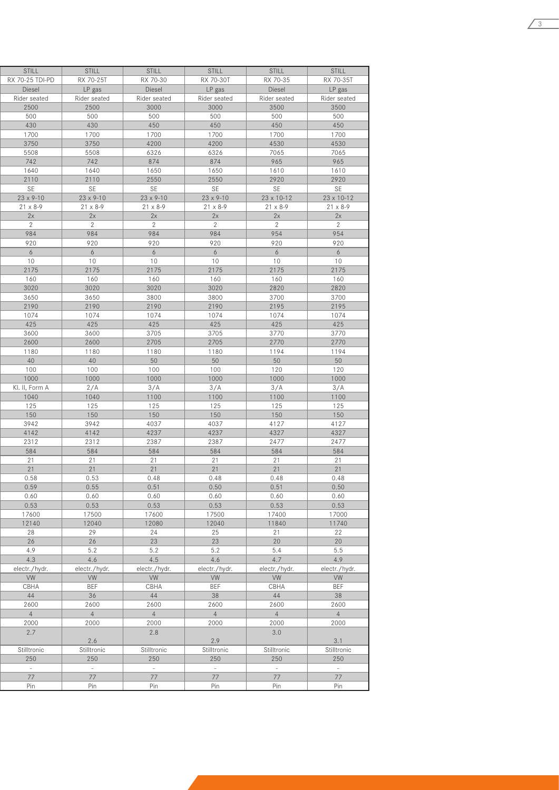| STILL              | STILL              | STILL              | STILL              | STILL               | STILL                                                               |
|--------------------|--------------------|--------------------|--------------------|---------------------|---------------------------------------------------------------------|
| RX 70-25 TDI-PD    | RX 70-25T          | RX 70-30           | RX 70-30T          | RX 70-35            | RX 70-35T                                                           |
| Diesel             | LP gas             | Diesel             | LP gas             | Diesel              | LP gas                                                              |
| Rider seated       | Rider seated       | Rider seated       | Rider seated       | Rider seated        | Rider seated                                                        |
|                    |                    |                    |                    |                     |                                                                     |
| 2500               | 2500               | 3000               | 3000               | 3500                | 3500                                                                |
| 500                | 500                | 500                | 500                | 500                 | 500                                                                 |
| 430                | 430                | 450                | 450                | 450                 | 450                                                                 |
| 1700               | 1700               | 1700               | 1700               | 1700                | 1700                                                                |
| 3750               | 3750               | 4200               | 4200               | 4530                | 4530                                                                |
| 5508               | 5508               | 6326               | 6326               | 7065                | 7065                                                                |
| 742                | 742                | 874                | 874                | 965                 | 965                                                                 |
| 1640               | 1640               | 1650               | 1650               | 1610                | 1610                                                                |
|                    |                    |                    |                    |                     |                                                                     |
| 2110               | 2110               | 2550               | 2550               | 2920                | 2920                                                                |
| SE                 | <b>SE</b>          | <b>SE</b>          | SE                 | SE                  | SE                                                                  |
| $23 \times 9 - 10$ | $23 \times 9 - 10$ | $23 \times 9 - 10$ | $23 \times 9 - 10$ | $23 \times 10 - 12$ | $23 \times 10 - 12$                                                 |
| $21 \times 8 - 9$  | $21 \times 8 - 9$  | $21 \times 8 - 9$  | $21 \times 8 - 9$  | $21 \times 8 - 9$   | $21 \times 8 - 9$                                                   |
| 2x                 | 2x                 | 2x                 | 2x                 | 2x                  | 2x                                                                  |
| 2                  | 2                  | $\overline{2}$     | $\mathbf{2}$       | $\overline{2}$      | $\overline{2}$                                                      |
| 984                | 984                | 984                | 984                | 954                 | 954                                                                 |
| 920                | 920                | 920                | 920                | 920                 | 920                                                                 |
|                    |                    |                    |                    |                     |                                                                     |
| 6                  | 6                  | 6                  | 6                  | 6                   | 6                                                                   |
| 10                 | 10                 | 10                 | 10                 | 10                  | 10                                                                  |
| 2175               | 2175               | 2175               | 2175               | 2175                | 2175                                                                |
| 160                | 160                | 160                | 160                | 160                 | 160                                                                 |
| 3020               | 3020               | 3020               | 3020               | 2820                | 2820                                                                |
| 3650               | 3650               | 3800               | 3800               | 3700                | 3700                                                                |
| 2190               | 2190               | 2190               | 2190               | 2195                | 2195                                                                |
|                    |                    |                    |                    |                     |                                                                     |
| 1074               | 1074               | 1074               | 1074               | 1074                | 1074                                                                |
| 425                | 425                | 425                | 425                | 425                 | 425                                                                 |
| 3600               | 3600               | 3705               | 3705               | 3770                | 3770                                                                |
| 2600               | 2600               | 2705               | 2705               | 2770                | 2770                                                                |
| 1180               | 1180               | 1180               | 1180               | 1194                | 1194                                                                |
| 40                 | 40                 | 50                 | 50                 | 50                  |                                                                     |
|                    |                    |                    |                    |                     | 50                                                                  |
| 100                | 100                | 100                | 100                | 120                 | 120                                                                 |
| 1000               | 1000               | 1000               | 1000               | 1000                | 1000                                                                |
| Kl. II, Form A     | 2/A                | 3/A                | 3/A                | 3/A                 | 3/A                                                                 |
| 1040               | 1040               | 1100               | 1100               | 1100                | 1100                                                                |
| 125                | 125                | 125                | 125                | 125                 | 125                                                                 |
| 150                | 150                | 150                | 150                | 150                 | 150                                                                 |
| 3942               | 3942               | 4037               | 4037               | 4127                | 4127                                                                |
| 4142               | 4142               | 4237               | 4237               | 4327                | 4327                                                                |
|                    |                    |                    |                    |                     |                                                                     |
| 2312               | 2312               | 2387               | 2387               | 2477                | 2477                                                                |
| 584                | 584                | 584                | 584                | 584                 | 584                                                                 |
| 21                 | 21                 | 21                 | 21                 | 21                  | 21                                                                  |
| 21                 | 21                 | 21                 | 21                 | 21                  | 21                                                                  |
| 0.58               | 0.53               | 0.48               | 0.48               | 0.48                | 0.48                                                                |
| 0.59               | 0.55               | 0.51               | 0.50               | 0.51                | 0.50                                                                |
| 0.60               | 0.60               | 0.60               | 0.60               | 0.60                | 0.60                                                                |
| 0.53               | 0.53               | 0.53               | 0.53               | 0.53                | 0.53                                                                |
| 17600              | 17500              | 17600              | 17500              | 17400               | 17000                                                               |
|                    |                    |                    |                    |                     |                                                                     |
| 12140              | 12040              | 12080              | 12040              | 11840               | 11740                                                               |
| 28                 | 29                 | 24                 | 25                 | 21                  |                                                                     |
| 26                 | 26                 | 23                 | 23                 | 20                  |                                                                     |
| 4.9                | 5.2                | 5.2                | 5.2                | 5.4                 | 5.5                                                                 |
|                    |                    |                    | 4.6                | 4.7                 |                                                                     |
| 4.3                | 4.6                | 4.5                |                    |                     |                                                                     |
|                    |                    |                    |                    |                     |                                                                     |
| electr./hydr.      | electr./hydr.      | electr./hydr.      | electr./hydr.      | electr./hydr.       |                                                                     |
| VW                 | VW                 | VW                 | VW                 | VW                  |                                                                     |
| CBHA               | <b>BEF</b>         | CBHA               | <b>BEF</b>         | CBHA                |                                                                     |
| 44                 | 36                 | 44                 | 38                 | 44                  |                                                                     |
| 2600               | 2600               | 2600               | 2600               | 2600                |                                                                     |
| 4                  | 4                  | 4                  | 4                  | 4                   |                                                                     |
|                    |                    |                    |                    |                     |                                                                     |
| 2000               | 2000               | 2000               | 2000               | 2000                |                                                                     |
| 2.7                |                    | 2.8                |                    | 3.0                 | 4.9<br>electr./hydr.<br>VW<br><b>BEF</b><br>38<br>2600<br>4<br>2000 |
|                    | 2.6                |                    | 2.9                |                     |                                                                     |
| Stilltronic        | Stilltronic        | Stilltronic        | Stilltronic        | Stilltronic         |                                                                     |
| 250                | 250                | 250                | 250                | 250                 | 3.1<br>Stilltronic<br>250                                           |
| $\sim$             | $\sim$             | $\sim$             | $\sim$             | $\sim$              |                                                                     |
|                    |                    |                    |                    |                     | $\sim$<br>77                                                        |
| 77<br>Pin          | 77<br>Pin          | 77<br>Pin          | 77<br>Pin          | 77<br>Pin           | Pin                                                                 |

3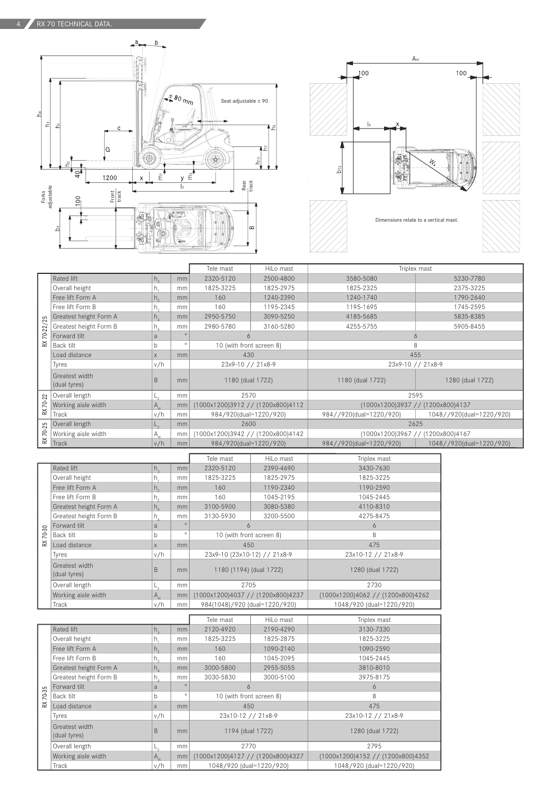



|                          |                                |              |         | Tele mast                         | HiLo mast | Triplex mast                                        |                          |  |  |
|--------------------------|--------------------------------|--------------|---------|-----------------------------------|-----------|-----------------------------------------------------|--------------------------|--|--|
| 25<br>70-22<br>$\approx$ | Rated lift                     | n.           | mm      | 2320-5120                         | 2500-4800 | 3580-5080                                           | 5230-7780                |  |  |
|                          | Overall height                 | п.           | mm      | 1825-3225                         | 1825-2975 | 1825-2325                                           | 2375-3225                |  |  |
|                          | Free lift Form A               | $h_{\alpha}$ | mm      | 160                               | 1240-2390 | 1240-1740                                           | 1790-2640                |  |  |
|                          | Free lift Form B               | n,           | mm      | 160                               | 1195-2345 | 1195-1695                                           | 1745-2595                |  |  |
|                          | Greatest height Form A         | n.           | mm      | 2950-5750                         | 3090-5250 | 4185-5685                                           | 5835-8385                |  |  |
|                          | Greatest height Form B         | n.           | mm      | 2980-5780                         | 3160-5280 | 4255-5755                                           | 5905-8455                |  |  |
|                          | Forward tilt                   | a            | $\circ$ | 6                                 |           | 6                                                   |                          |  |  |
|                          | Back tilt                      | n            | $\circ$ | 10 (with front screen 8)          |           | 8                                                   |                          |  |  |
|                          | Load distance                  |              | mm      | 430                               |           | 455                                                 |                          |  |  |
|                          | Tyres                          | v/h          |         | 23x9-10 // 21x8-9                 |           | 23x9-10 // 21x8-9                                   |                          |  |  |
|                          | Greatest width<br>(dual tyres) | B            | mm      | 1180 (dual 1722)                  |           | 1180 (dual 1722)                                    | 1280 (dual 1722)         |  |  |
|                          | Overall length                 |              | mm      | 2570                              |           | 2595                                                |                          |  |  |
| $70 - 22$                | Working aisle width            | $A_{\rm cr}$ | mm      | (1000x1200)3912 // (1200x800)4112 |           | (1000x1200)3937 // (1200x800)4137                   |                          |  |  |
| $\approx$                | Track                          | v/h          | mm      | 984/920(dual=1220/920)            |           | 984//920(dual=1220/920)                             | 1048//920(dual=1220/920) |  |  |
| 70-25                    | Overall length                 | $-2$         | mm      | 2600                              |           | 2625                                                |                          |  |  |
|                          | Working aisle width            | $A_{st}$     | mm      | (1000x1200)3942 // (1200x800)4142 |           | (1000x1200)3967 // (1200x800)4167                   |                          |  |  |
| ≳                        | Track                          | v/h          | mm      | 984/920(dual=1220/920)            |           | 984//920(dual=1220/920)<br>1048//920(dual=1220/920) |                          |  |  |

|           |                                |                            |               | Tele mast                         | HiLo mast | Triplex mast                      |
|-----------|--------------------------------|----------------------------|---------------|-----------------------------------|-----------|-----------------------------------|
|           | Rated lift                     | $h_{\alpha}$               | mm            | 2320-5120                         | 2390-4690 | 3430-7630                         |
|           | Overall height                 | h.                         | mm            | 1825-3225                         | 1825-2975 | 1825-3225                         |
|           | Free lift Form A               | $h_{\circ}$                | mm            | 160                               | 1190-2340 | 1190-2590                         |
|           | Free lift Form B               | h,                         | mm            | 160                               | 1045-2195 | 1045-2445                         |
|           | Greatest height Form A         | $h_{\scriptscriptstyle A}$ | mm            | 3100-5900                         | 3080-5380 | 4110-8310                         |
|           | Greatest height Form B         | $h_{\scriptscriptstyle A}$ | mm            | 3130-5930                         | 3200-5500 | 4275-8475                         |
|           | Forward tilt                   | a                          | $\circ$       | 6                                 |           | 6                                 |
| 70-30     | Back tilt                      | b                          | $\circ$       | 10 (with front screen 8)          |           | 8                                 |
| $\approx$ | Load distance                  | X                          | mm            | 450                               |           | 475                               |
|           | Tyres                          | v/h                        |               | 23x9-10 (23x10-12) // 21x8-9      |           | 23x10-12 // 21x8-9                |
|           | Greatest width<br>(dual tyres) | B                          | mm            | 1180 (1194) (dual 1722)           |           | 1280 (dual 1722)                  |
|           | Overall length                 | ∟,                         | mm            | 2705                              |           | 2730                              |
|           | Working aisle width            | $A_{st}$                   | mm            | (1000x1200)4037 // (1200x800)4237 |           | (1000x1200)4062 // (1200x800)4262 |
|           | Track                          | v/h                        | <sub>mm</sub> | 984(1048)/920 (dual=1220/920)     |           | 1048/920 (dual=1220/920)          |

|        |                                |                            |         | Tele mast                         | HiLo mast | Triplex mast                      |
|--------|--------------------------------|----------------------------|---------|-----------------------------------|-----------|-----------------------------------|
|        | Rated lift                     | $h_{\circ}$                | mm      | 2120-4920                         | 2190-4290 | 3130-7330                         |
|        | Overall height                 | h.                         | mm      | 1825-3225                         | 1825-2875 | 1825-3225                         |
|        | Free lift Form A               | h <sub>2</sub>             | mm      | 160                               | 1090-2140 | 1090-2590                         |
|        | Free lift Form B               | h,                         | mm      | 160                               | 1045-2095 | 1045-2445                         |
|        | Greatest height Form A         | $h_{\scriptscriptstyle A}$ | mm      | 3000-5800                         | 2955-5055 | 3810-8010                         |
|        | Greatest height Form B         | h,                         | mm      | 3030-5830                         | 3000-5100 | 3975-8175                         |
| 35     | Forward tilt                   | a                          | $\circ$ | 6                                 |           | 6                                 |
| $\sim$ | Back tilt                      | b.                         | $\circ$ | 10 (with front screen 8)          |           | 8                                 |
| ≳      | Load distance                  | X                          | mm      | 450                               |           | 475                               |
|        | Tyres                          | v/h                        |         | 23x10-12 // 21x8-9                |           | 23x10-12 // 21x8-9                |
|        | Greatest width<br>(dual tyres) | <sub>B</sub>               | mm      | 1194 (dual 1722)                  |           | 1280 (dual 1722)                  |
|        | Overall length                 | $L_{\alpha}$               | mm      | 2770                              |           | 2795                              |
|        | Working aisle width            | $A_{\rm st}$               | mm      | (1000x1200)4127 // (1200x800)4327 |           | (1000x1200)4152 // (1200x800)4352 |
|        | Track                          | v/h                        | mm      | 1048/920 (dual=1220/920)          |           | 1048/920 (dual=1220/920)          |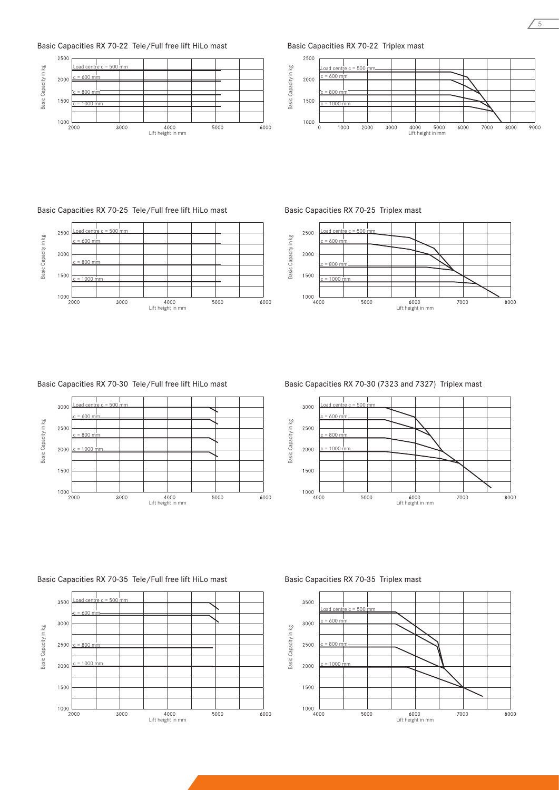



Basic Capacities RX 70-22 Triplex mast





# Basic Capacities RX 70-30 Tele/Full free lift HiLo mast



Basic Capacities RX 70-25 Triplex mast



# Basic Capacities RX 70-30 (7323 and 7327) Triplex mast



# Basic Capacities RX 70-35 Tele/Full free lift HiLo mast





5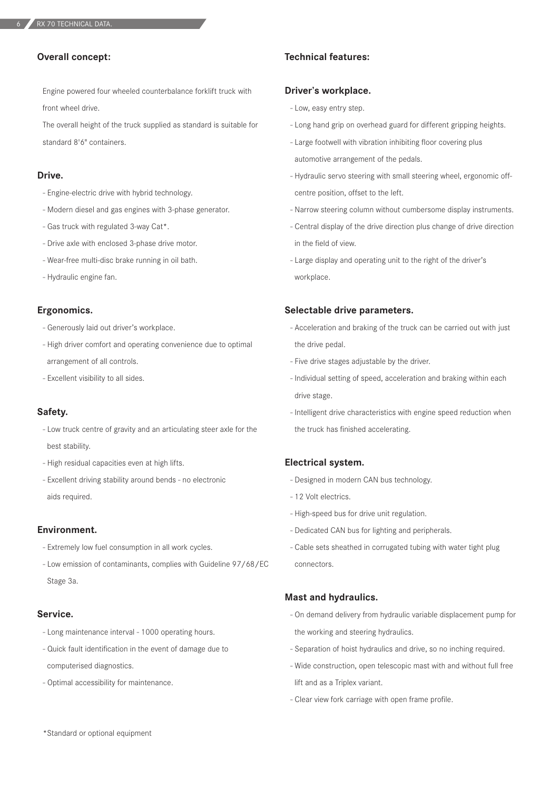# **Overall concept:**

Engine powered four wheeled counterbalance forklift truck with front wheel drive.

The overall height of the truck supplied as standard is suitable for standard 8'6" containers.

# **Drive.**

- Engine-electric drive with hybrid technology.
- Modern diesel and gas engines with 3-phase generator.
- Gas truck with regulated 3-way Cat\*.
- Drive axle with enclosed 3-phase drive motor.
- Wear-free multi-disc brake running in oil bath.
- Hydraulic engine fan.

### **Ergonomics.**

- Generously laid out driver's workplace.
- High driver comfort and operating convenience due to optimal arrangement of all controls.
- Excellent visibility to all sides.

# **Safety.**

- Low truck centre of gravity and an articulating steer axle for the best stability.
- High residual capacities even at high lifts.
- Excellent driving stability around bends no electronic aids required.

# **Environment.**

- Extremely low fuel consumption in all work cycles.
- Low emission of contaminants, complies with Guideline 97/68/EC Stage 3a.

# **Service.**

- Long maintenance interval 1000 operating hours.
- Quick fault identification in the event of damage due to computerised diagnostics.
- Optimal accessibility for maintenance.

# **Technical features:**

# **Driver's workplace.**

- Low, easy entry step.
- Long hand grip on overhead guard for different gripping heights.
- Large footwell with vibration inhibiting floor covering plus automotive arrangement of the pedals.
- Hydraulic servo steering with small steering wheel, ergonomic offcentre position, offset to the left.
- Narrow steering column without cumbersome display instruments.
- Central display of the drive direction plus change of drive direction in the field of view.
- Large display and operating unit to the right of the driver's workplace.

#### **Selectable drive parameters.**

- Acceleration and braking of the truck can be carried out with just the drive pedal.
- Five drive stages adjustable by the driver.
- Individual setting of speed, acceleration and braking within each drive stage.
- Intelligent drive characteristics with engine speed reduction when the truck has finished accelerating.

# **Electrical system.**

- Designed in modern CAN bus technology.
- 12 Volt electrics.
- High-speed bus for drive unit regulation.
- Dedicated CAN bus for lighting and peripherals.
- Cable sets sheathed in corrugated tubing with water tight plug connectors.

#### **Mast and hydraulics.**

- On demand delivery from hydraulic variable displacement pump for the working and steering hydraulics.
- Separation of hoist hydraulics and drive, so no inching required.
- Wide construction, open telescopic mast with and without full free lift and as a Triplex variant.
- Clear view fork carriage with open frame profile.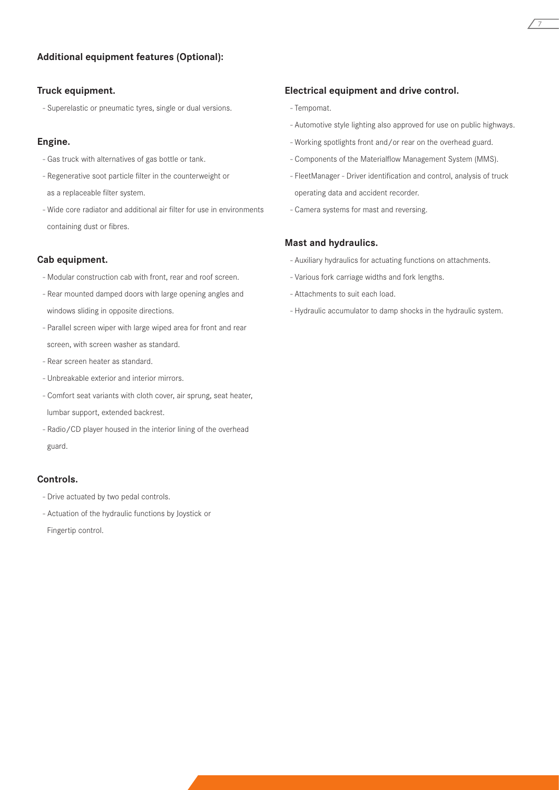# **Additional equipment features (Optional):**

# **Truck equipment.**

- Superelastic or pneumatic tyres, single or dual versions.

# **Engine.**

- Gas truck with alternatives of gas bottle or tank.
- Regenerative soot particle filter in the counterweight or as a replaceable filter system.
- Wide core radiator and additional air filter for use in environments containing dust or fibres.

# **Cab equipment.**

- Modular construction cab with front, rear and roof screen.
- Rear mounted damped doors with large opening angles and windows sliding in opposite directions.
- Parallel screen wiper with large wiped area for front and rear screen, with screen washer as standard.
- Rear screen heater as standard.
- Unbreakable exterior and interior mirrors.
- Comfort seat variants with cloth cover, air sprung, seat heater, lumbar support, extended backrest.
- Radio/CD player housed in the interior lining of the overhead guard.

### **Controls.**

- Drive actuated by two pedal controls.
- Actuation of the hydraulic functions by Joystick or Fingertip control.

## **Electrical equipment and drive control.**

- Tempomat.
- Automotive style lighting also approved for use on public highways.

7

- Working spotlights front and/or rear on the overhead guard.
- Components of the Materialflow Management System (MMS).
- FleetManager Driver identification and control, analysis of truck operating data and accident recorder.
- Camera systems for mast and reversing.

# **Mast and hydraulics.**

- Auxiliary hydraulics for actuating functions on attachments.
- Various fork carriage widths and fork lengths.
- Attachments to suit each load.
- Hydraulic accumulator to damp shocks in the hydraulic system.